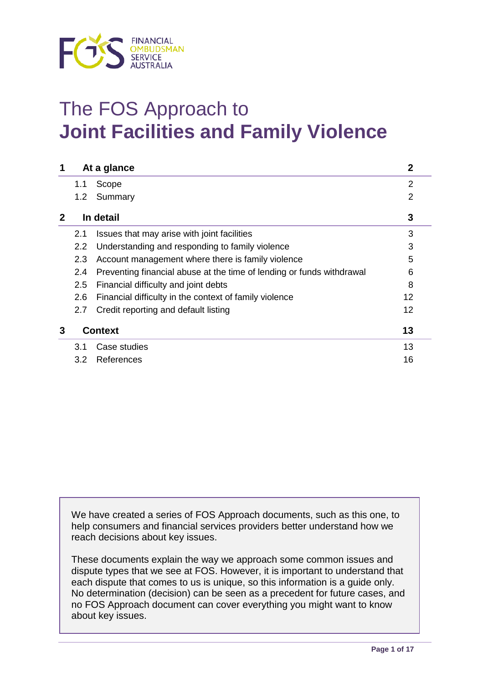

# The FOS Approach to **Joint Facilities and Family Violence**

| 1            |     | At a glance                                                           | $\mathbf 2$    |  |
|--------------|-----|-----------------------------------------------------------------------|----------------|--|
|              | 1.1 | Scope                                                                 | $\overline{2}$ |  |
|              | 1.2 | Summary                                                               | $\overline{2}$ |  |
| $\mathbf{2}$ |     | In detail                                                             | 3              |  |
|              | 2.1 | Issues that may arise with joint facilities                           | 3              |  |
|              | 2.2 | Understanding and responding to family violence                       | 3              |  |
|              | 2.3 | Account management where there is family violence                     | 5              |  |
|              | 2.4 | Preventing financial abuse at the time of lending or funds withdrawal | 6              |  |
|              | 2.5 | Financial difficulty and joint debts                                  | 8              |  |
|              | 2.6 | Financial difficulty in the context of family violence                | 12             |  |
|              | 2.7 | Credit reporting and default listing                                  | 12             |  |
| 3            |     | <b>Context</b>                                                        | 13             |  |
|              | 3.1 | Case studies                                                          | 13             |  |
|              | 3.2 | References                                                            | 16             |  |
|              |     |                                                                       |                |  |

We have created a series of FOS Approach documents, such as this one, to help consumers and financial services providers better understand how we reach decisions about key issues.

These documents explain the way we approach some common issues and dispute types that we see at FOS. However, it is important to understand that each dispute that comes to us is unique, so this information is a guide only. No determination (decision) can be seen as a precedent for future cases, and no FOS Approach document can cover everything you might want to know about key issues.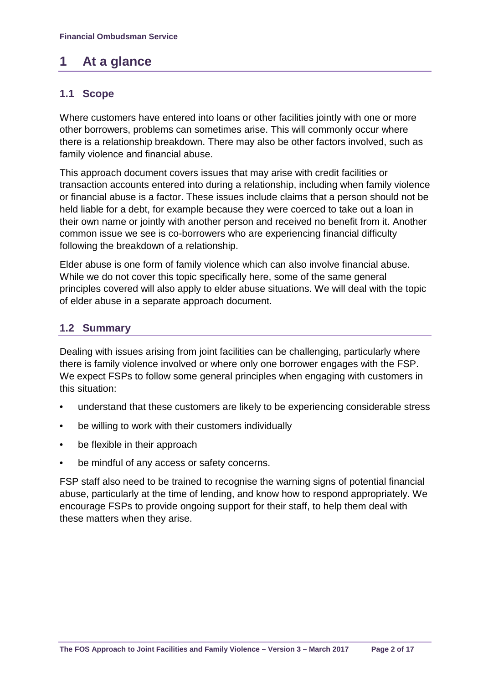# **1 At a glance**

## **1.1 Scope**

Where customers have entered into loans or other facilities jointly with one or more other borrowers, problems can sometimes arise. This will commonly occur where there is a relationship breakdown. There may also be other factors involved, such as family violence and financial abuse.

This approach document covers issues that may arise with credit facilities or transaction accounts entered into during a relationship, including when family violence or financial abuse is a factor. These issues include claims that a person should not be held liable for a debt, for example because they were coerced to take out a loan in their own name or jointly with another person and received no benefit from it. Another common issue we see is co-borrowers who are experiencing financial difficulty following the breakdown of a relationship.

Elder abuse is one form of family violence which can also involve financial abuse. While we do not cover this topic specifically here, some of the same general principles covered will also apply to elder abuse situations. We will deal with the topic of elder abuse in a separate approach document.

## **1.2 Summary**

Dealing with issues arising from joint facilities can be challenging, particularly where there is family violence involved or where only one borrower engages with the FSP. We expect FSPs to follow some general principles when engaging with customers in this situation:

- understand that these customers are likely to be experiencing considerable stress
- be willing to work with their customers individually
- be flexible in their approach
- be mindful of any access or safety concerns.

FSP staff also need to be trained to recognise the warning signs of potential financial abuse, particularly at the time of lending, and know how to respond appropriately. We encourage FSPs to provide ongoing support for their staff, to help them deal with these matters when they arise.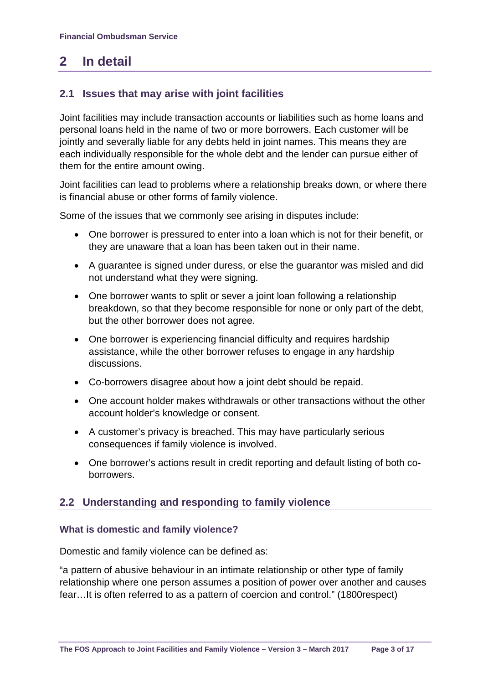# **2 In detail**

## **2.1 Issues that may arise with joint facilities**

Joint facilities may include transaction accounts or liabilities such as home loans and personal loans held in the name of two or more borrowers. Each customer will be jointly and severally liable for any debts held in joint names. This means they are each individually responsible for the whole debt and the lender can pursue either of them for the entire amount owing.

Joint facilities can lead to problems where a relationship breaks down, or where there is financial abuse or other forms of family violence.

Some of the issues that we commonly see arising in disputes include:

- One borrower is pressured to enter into a loan which is not for their benefit, or they are unaware that a loan has been taken out in their name.
- A guarantee is signed under duress, or else the guarantor was misled and did not understand what they were signing.
- One borrower wants to split or sever a joint loan following a relationship breakdown, so that they become responsible for none or only part of the debt, but the other borrower does not agree.
- One borrower is experiencing financial difficulty and requires hardship assistance, while the other borrower refuses to engage in any hardship discussions.
- Co-borrowers disagree about how a joint debt should be repaid.
- One account holder makes withdrawals or other transactions without the other account holder's knowledge or consent.
- A customer's privacy is breached. This may have particularly serious consequences if family violence is involved.
- One borrower's actions result in credit reporting and default listing of both coborrowers.

## **2.2 Understanding and responding to family violence**

#### **What is domestic and family violence?**

Domestic and family violence can be defined as:

"a pattern of abusive behaviour in an intimate relationship or other type of family relationship where one person assumes a position of power over another and causes fear…It is often referred to as a pattern of coercion and control." (1800respect)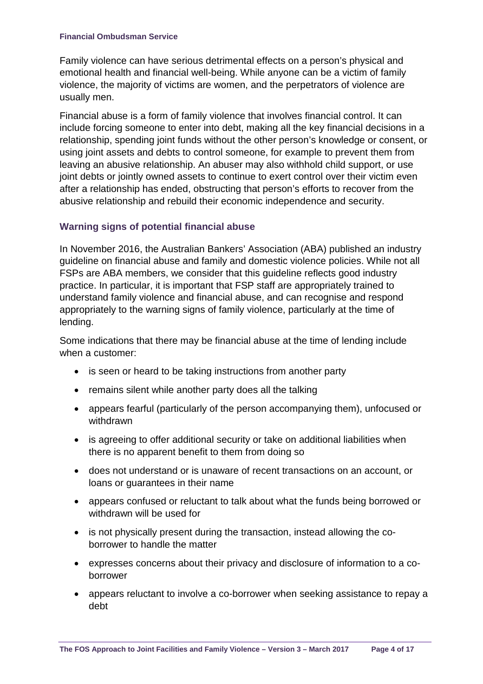Family violence can have serious detrimental effects on a person's physical and emotional health and financial well-being. While anyone can be a victim of family violence, the majority of victims are women, and the perpetrators of violence are usually men.

Financial abuse is a form of family violence that involves financial control. It can include forcing someone to enter into debt, making all the key financial decisions in a relationship, spending joint funds without the other person's knowledge or consent, or using joint assets and debts to control someone, for example to prevent them from leaving an abusive relationship. An abuser may also withhold child support, or use joint debts or jointly owned assets to continue to exert control over their victim even after a relationship has ended, obstructing that person's efforts to recover from the abusive relationship and rebuild their economic independence and security.

#### **Warning signs of potential financial abuse**

In November 2016, the Australian Bankers' Association (ABA) published an industry guideline on financial abuse and family and domestic violence policies. While not all FSPs are ABA members, we consider that this guideline reflects good industry practice. In particular, it is important that FSP staff are appropriately trained to understand family violence and financial abuse, and can recognise and respond appropriately to the warning signs of family violence, particularly at the time of lending.

Some indications that there may be financial abuse at the time of lending include when a customer:

- is seen or heard to be taking instructions from another party
- remains silent while another party does all the talking
- appears fearful (particularly of the person accompanying them), unfocused or withdrawn
- is agreeing to offer additional security or take on additional liabilities when there is no apparent benefit to them from doing so
- does not understand or is unaware of recent transactions on an account, or loans or guarantees in their name
- appears confused or reluctant to talk about what the funds being borrowed or withdrawn will be used for
- is not physically present during the transaction, instead allowing the coborrower to handle the matter
- expresses concerns about their privacy and disclosure of information to a coborrower
- appears reluctant to involve a co-borrower when seeking assistance to repay a debt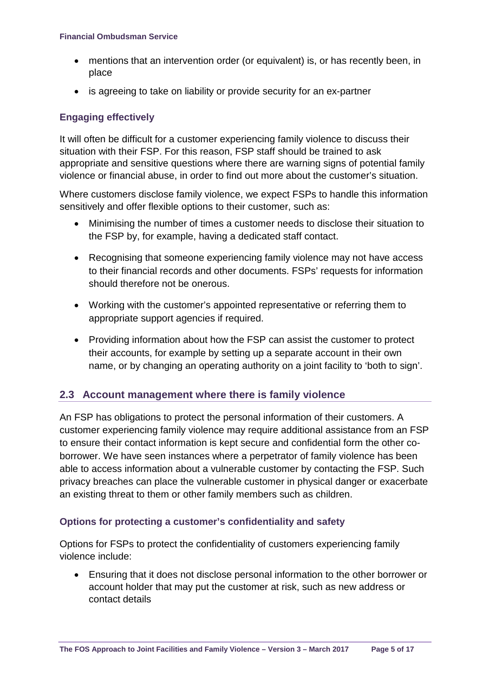- mentions that an intervention order (or equivalent) is, or has recently been, in place
- is agreeing to take on liability or provide security for an ex-partner

## **Engaging effectively**

It will often be difficult for a customer experiencing family violence to discuss their situation with their FSP. For this reason, FSP staff should be trained to ask appropriate and sensitive questions where there are warning signs of potential family violence or financial abuse, in order to find out more about the customer's situation.

Where customers disclose family violence, we expect FSPs to handle this information sensitively and offer flexible options to their customer, such as:

- Minimising the number of times a customer needs to disclose their situation to the FSP by, for example, having a dedicated staff contact.
- Recognising that someone experiencing family violence may not have access to their financial records and other documents. FSPs' requests for information should therefore not be onerous.
- Working with the customer's appointed representative or referring them to appropriate support agencies if required.
- Providing information about how the FSP can assist the customer to protect their accounts, for example by setting up a separate account in their own name, or by changing an operating authority on a joint facility to 'both to sign'.

## **2.3 Account management where there is family violence**

An FSP has obligations to protect the personal information of their customers. A customer experiencing family violence may require additional assistance from an FSP to ensure their contact information is kept secure and confidential form the other coborrower. We have seen instances where a perpetrator of family violence has been able to access information about a vulnerable customer by contacting the FSP. Such privacy breaches can place the vulnerable customer in physical danger or exacerbate an existing threat to them or other family members such as children.

## **Options for protecting a customer's confidentiality and safety**

Options for FSPs to protect the confidentiality of customers experiencing family violence include:

• Ensuring that it does not disclose personal information to the other borrower or account holder that may put the customer at risk, such as new address or contact details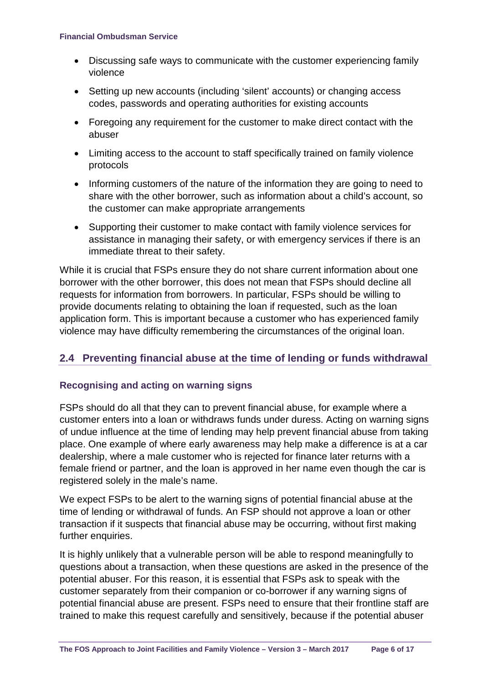- Discussing safe ways to communicate with the customer experiencing family violence
- Setting up new accounts (including 'silent' accounts) or changing access codes, passwords and operating authorities for existing accounts
- Foregoing any requirement for the customer to make direct contact with the abuser
- Limiting access to the account to staff specifically trained on family violence protocols
- Informing customers of the nature of the information they are going to need to share with the other borrower, such as information about a child's account, so the customer can make appropriate arrangements
- Supporting their customer to make contact with family violence services for assistance in managing their safety, or with emergency services if there is an immediate threat to their safety.

While it is crucial that FSPs ensure they do not share current information about one borrower with the other borrower, this does not mean that FSPs should decline all requests for information from borrowers. In particular, FSPs should be willing to provide documents relating to obtaining the loan if requested, such as the loan application form. This is important because a customer who has experienced family violence may have difficulty remembering the circumstances of the original loan.

## **2.4 Preventing financial abuse at the time of lending or funds withdrawal**

## **Recognising and acting on warning signs**

FSPs should do all that they can to prevent financial abuse, for example where a customer enters into a loan or withdraws funds under duress. Acting on warning signs of undue influence at the time of lending may help prevent financial abuse from taking place. One example of where early awareness may help make a difference is at a car dealership, where a male customer who is rejected for finance later returns with a female friend or partner, and the loan is approved in her name even though the car is registered solely in the male's name.

We expect FSPs to be alert to the warning signs of potential financial abuse at the time of lending or withdrawal of funds. An FSP should not approve a loan or other transaction if it suspects that financial abuse may be occurring, without first making further enquiries.

It is highly unlikely that a vulnerable person will be able to respond meaningfully to questions about a transaction, when these questions are asked in the presence of the potential abuser. For this reason, it is essential that FSPs ask to speak with the customer separately from their companion or co-borrower if any warning signs of potential financial abuse are present. FSPs need to ensure that their frontline staff are trained to make this request carefully and sensitively, because if the potential abuser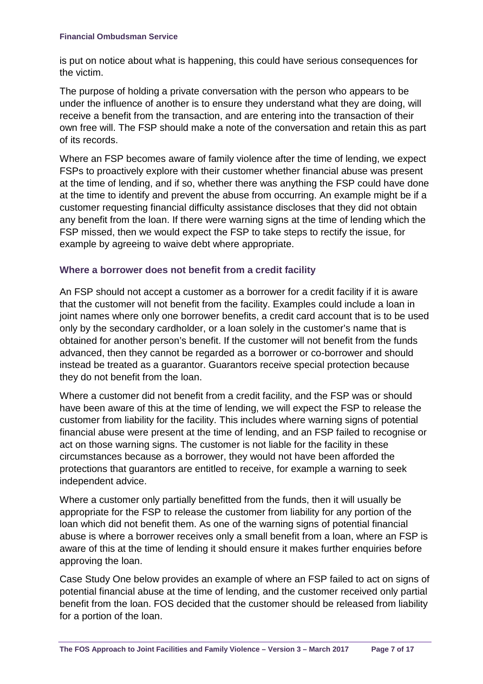is put on notice about what is happening, this could have serious consequences for the victim.

The purpose of holding a private conversation with the person who appears to be under the influence of another is to ensure they understand what they are doing, will receive a benefit from the transaction, and are entering into the transaction of their own free will. The FSP should make a note of the conversation and retain this as part of its records.

Where an FSP becomes aware of family violence after the time of lending, we expect FSPs to proactively explore with their customer whether financial abuse was present at the time of lending, and if so, whether there was anything the FSP could have done at the time to identify and prevent the abuse from occurring. An example might be if a customer requesting financial difficulty assistance discloses that they did not obtain any benefit from the loan. If there were warning signs at the time of lending which the FSP missed, then we would expect the FSP to take steps to rectify the issue, for example by agreeing to waive debt where appropriate.

#### **Where a borrower does not benefit from a credit facility**

An FSP should not accept a customer as a borrower for a credit facility if it is aware that the customer will not benefit from the facility. Examples could include a loan in joint names where only one borrower benefits, a credit card account that is to be used only by the secondary cardholder, or a loan solely in the customer's name that is obtained for another person's benefit. If the customer will not benefit from the funds advanced, then they cannot be regarded as a borrower or co-borrower and should instead be treated as a guarantor. Guarantors receive special protection because they do not benefit from the loan.

Where a customer did not benefit from a credit facility, and the FSP was or should have been aware of this at the time of lending, we will expect the FSP to release the customer from liability for the facility. This includes where warning signs of potential financial abuse were present at the time of lending, and an FSP failed to recognise or act on those warning signs. The customer is not liable for the facility in these circumstances because as a borrower, they would not have been afforded the protections that guarantors are entitled to receive, for example a warning to seek independent advice.

Where a customer only partially benefitted from the funds, then it will usually be appropriate for the FSP to release the customer from liability for any portion of the loan which did not benefit them. As one of the warning signs of potential financial abuse is where a borrower receives only a small benefit from a loan, where an FSP is aware of this at the time of lending it should ensure it makes further enquiries before approving the loan.

Case Study One below provides an example of where an FSP failed to act on signs of potential financial abuse at the time of lending, and the customer received only partial benefit from the loan. FOS decided that the customer should be released from liability for a portion of the loan.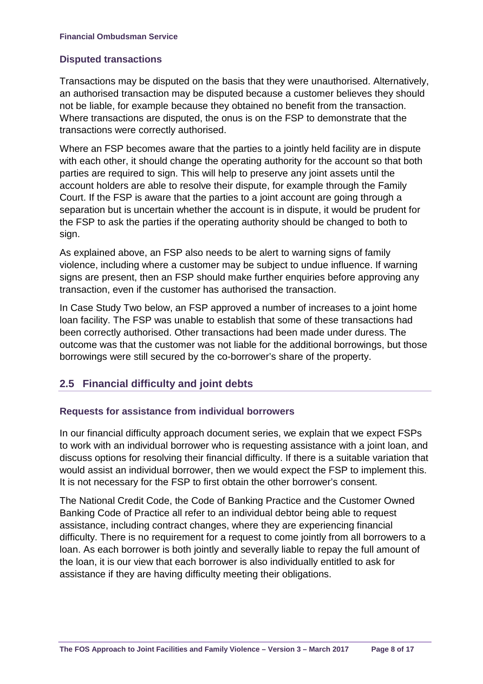## **Disputed transactions**

Transactions may be disputed on the basis that they were unauthorised. Alternatively, an authorised transaction may be disputed because a customer believes they should not be liable, for example because they obtained no benefit from the transaction. Where transactions are disputed, the onus is on the FSP to demonstrate that the transactions were correctly authorised.

Where an FSP becomes aware that the parties to a jointly held facility are in dispute with each other, it should change the operating authority for the account so that both parties are required to sign. This will help to preserve any joint assets until the account holders are able to resolve their dispute, for example through the Family Court. If the FSP is aware that the parties to a joint account are going through a separation but is uncertain whether the account is in dispute, it would be prudent for the FSP to ask the parties if the operating authority should be changed to both to sign.

As explained above, an FSP also needs to be alert to warning signs of family violence, including where a customer may be subject to undue influence. If warning signs are present, then an FSP should make further enquiries before approving any transaction, even if the customer has authorised the transaction.

In Case Study Two below, an FSP approved a number of increases to a joint home loan facility. The FSP was unable to establish that some of these transactions had been correctly authorised. Other transactions had been made under duress. The outcome was that the customer was not liable for the additional borrowings, but those borrowings were still secured by the co-borrower's share of the property.

## **2.5 Financial difficulty and joint debts**

## **Requests for assistance from individual borrowers**

In our financial difficulty approach document series, we explain that we expect FSPs to work with an individual borrower who is requesting assistance with a joint loan, and discuss options for resolving their financial difficulty. If there is a suitable variation that would assist an individual borrower, then we would expect the FSP to implement this. It is not necessary for the FSP to first obtain the other borrower's consent.

The National Credit Code, the Code of Banking Practice and the Customer Owned Banking Code of Practice all refer to an individual debtor being able to request assistance, including contract changes, where they are experiencing financial difficulty. There is no requirement for a request to come jointly from all borrowers to a loan. As each borrower is both jointly and severally liable to repay the full amount of the loan, it is our view that each borrower is also individually entitled to ask for assistance if they are having difficulty meeting their obligations.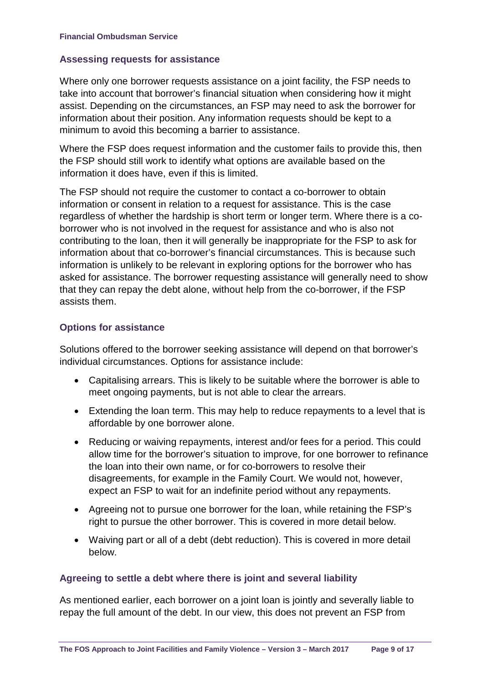#### **Assessing requests for assistance**

Where only one borrower requests assistance on a joint facility, the FSP needs to take into account that borrower's financial situation when considering how it might assist. Depending on the circumstances, an FSP may need to ask the borrower for information about their position. Any information requests should be kept to a minimum to avoid this becoming a barrier to assistance.

Where the FSP does request information and the customer fails to provide this, then the FSP should still work to identify what options are available based on the information it does have, even if this is limited.

The FSP should not require the customer to contact a co-borrower to obtain information or consent in relation to a request for assistance. This is the case regardless of whether the hardship is short term or longer term. Where there is a coborrower who is not involved in the request for assistance and who is also not contributing to the loan, then it will generally be inappropriate for the FSP to ask for information about that co-borrower's financial circumstances. This is because such information is unlikely to be relevant in exploring options for the borrower who has asked for assistance. The borrower requesting assistance will generally need to show that they can repay the debt alone, without help from the co-borrower, if the FSP assists them.

#### **Options for assistance**

Solutions offered to the borrower seeking assistance will depend on that borrower's individual circumstances. Options for assistance include:

- Capitalising arrears. This is likely to be suitable where the borrower is able to meet ongoing payments, but is not able to clear the arrears.
- Extending the loan term. This may help to reduce repayments to a level that is affordable by one borrower alone.
- Reducing or waiving repayments, interest and/or fees for a period. This could allow time for the borrower's situation to improve, for one borrower to refinance the loan into their own name, or for co-borrowers to resolve their disagreements, for example in the Family Court. We would not, however, expect an FSP to wait for an indefinite period without any repayments.
- Agreeing not to pursue one borrower for the loan, while retaining the FSP's right to pursue the other borrower. This is covered in more detail below.
- Waiving part or all of a debt (debt reduction). This is covered in more detail below.

#### **Agreeing to settle a debt where there is joint and several liability**

As mentioned earlier, each borrower on a joint loan is jointly and severally liable to repay the full amount of the debt. In our view, this does not prevent an FSP from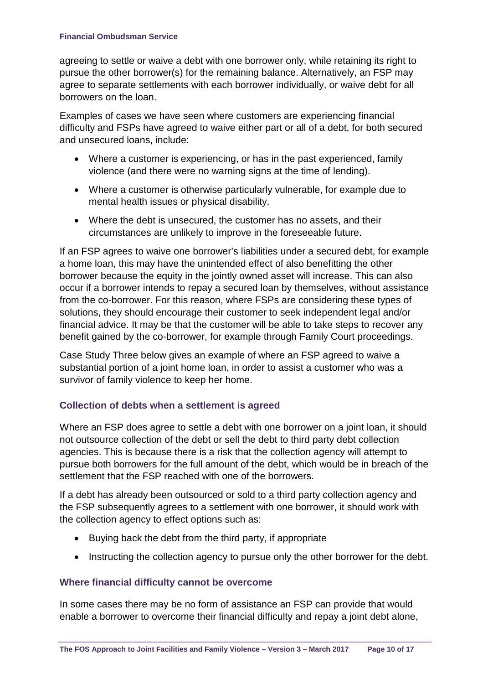agreeing to settle or waive a debt with one borrower only, while retaining its right to pursue the other borrower(s) for the remaining balance. Alternatively, an FSP may agree to separate settlements with each borrower individually, or waive debt for all borrowers on the loan.

Examples of cases we have seen where customers are experiencing financial difficulty and FSPs have agreed to waive either part or all of a debt, for both secured and unsecured loans, include:

- Where a customer is experiencing, or has in the past experienced, family violence (and there were no warning signs at the time of lending).
- Where a customer is otherwise particularly vulnerable, for example due to mental health issues or physical disability.
- Where the debt is unsecured, the customer has no assets, and their circumstances are unlikely to improve in the foreseeable future.

If an FSP agrees to waive one borrower's liabilities under a secured debt, for example a home loan, this may have the unintended effect of also benefitting the other borrower because the equity in the jointly owned asset will increase. This can also occur if a borrower intends to repay a secured loan by themselves, without assistance from the co-borrower. For this reason, where FSPs are considering these types of solutions, they should encourage their customer to seek independent legal and/or financial advice. It may be that the customer will be able to take steps to recover any benefit gained by the co-borrower, for example through Family Court proceedings.

Case Study Three below gives an example of where an FSP agreed to waive a substantial portion of a joint home loan, in order to assist a customer who was a survivor of family violence to keep her home.

## **Collection of debts when a settlement is agreed**

Where an FSP does agree to settle a debt with one borrower on a joint loan, it should not outsource collection of the debt or sell the debt to third party debt collection agencies. This is because there is a risk that the collection agency will attempt to pursue both borrowers for the full amount of the debt, which would be in breach of the settlement that the FSP reached with one of the borrowers.

If a debt has already been outsourced or sold to a third party collection agency and the FSP subsequently agrees to a settlement with one borrower, it should work with the collection agency to effect options such as:

- Buying back the debt from the third party, if appropriate
- Instructing the collection agency to pursue only the other borrower for the debt.

## **Where financial difficulty cannot be overcome**

In some cases there may be no form of assistance an FSP can provide that would enable a borrower to overcome their financial difficulty and repay a joint debt alone,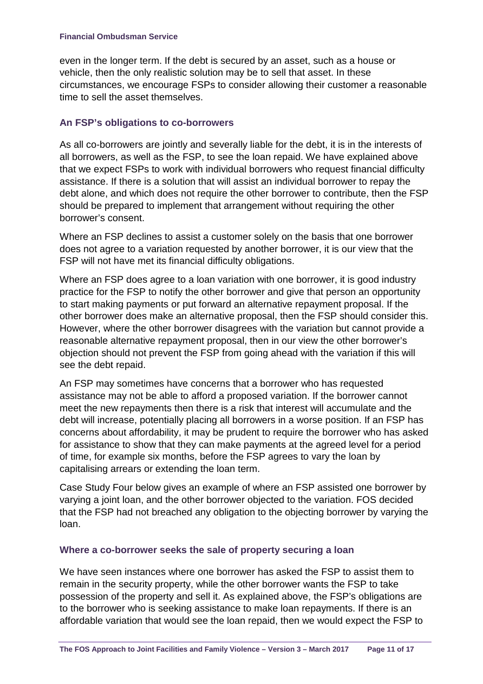even in the longer term. If the debt is secured by an asset, such as a house or vehicle, then the only realistic solution may be to sell that asset. In these circumstances, we encourage FSPs to consider allowing their customer a reasonable time to sell the asset themselves.

## **An FSP's obligations to co-borrowers**

As all co-borrowers are jointly and severally liable for the debt, it is in the interests of all borrowers, as well as the FSP, to see the loan repaid. We have explained above that we expect FSPs to work with individual borrowers who request financial difficulty assistance. If there is a solution that will assist an individual borrower to repay the debt alone, and which does not require the other borrower to contribute, then the FSP should be prepared to implement that arrangement without requiring the other borrower's consent.

Where an FSP declines to assist a customer solely on the basis that one borrower does not agree to a variation requested by another borrower, it is our view that the FSP will not have met its financial difficulty obligations.

Where an FSP does agree to a loan variation with one borrower, it is good industry practice for the FSP to notify the other borrower and give that person an opportunity to start making payments or put forward an alternative repayment proposal. If the other borrower does make an alternative proposal, then the FSP should consider this. However, where the other borrower disagrees with the variation but cannot provide a reasonable alternative repayment proposal, then in our view the other borrower's objection should not prevent the FSP from going ahead with the variation if this will see the debt repaid.

An FSP may sometimes have concerns that a borrower who has requested assistance may not be able to afford a proposed variation. If the borrower cannot meet the new repayments then there is a risk that interest will accumulate and the debt will increase, potentially placing all borrowers in a worse position. If an FSP has concerns about affordability, it may be prudent to require the borrower who has asked for assistance to show that they can make payments at the agreed level for a period of time, for example six months, before the FSP agrees to vary the loan by capitalising arrears or extending the loan term.

Case Study Four below gives an example of where an FSP assisted one borrower by varying a joint loan, and the other borrower objected to the variation. FOS decided that the FSP had not breached any obligation to the objecting borrower by varying the loan.

## **Where a co-borrower seeks the sale of property securing a loan**

We have seen instances where one borrower has asked the FSP to assist them to remain in the security property, while the other borrower wants the FSP to take possession of the property and sell it. As explained above, the FSP's obligations are to the borrower who is seeking assistance to make loan repayments. If there is an affordable variation that would see the loan repaid, then we would expect the FSP to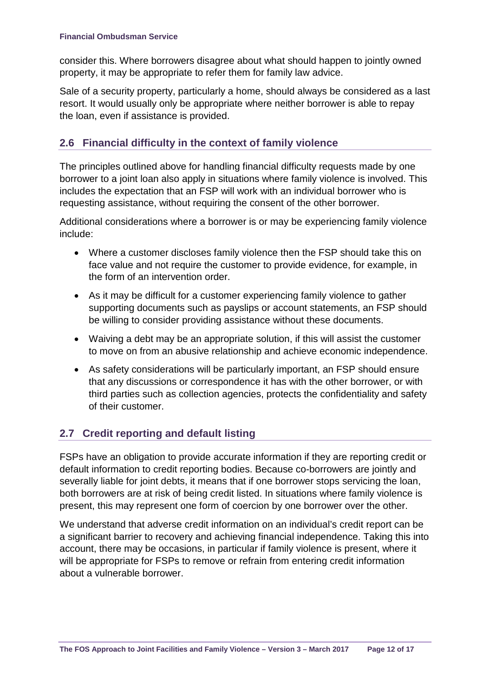consider this. Where borrowers disagree about what should happen to jointly owned property, it may be appropriate to refer them for family law advice.

Sale of a security property, particularly a home, should always be considered as a last resort. It would usually only be appropriate where neither borrower is able to repay the loan, even if assistance is provided.

## **2.6 Financial difficulty in the context of family violence**

The principles outlined above for handling financial difficulty requests made by one borrower to a joint loan also apply in situations where family violence is involved. This includes the expectation that an FSP will work with an individual borrower who is requesting assistance, without requiring the consent of the other borrower.

Additional considerations where a borrower is or may be experiencing family violence include:

- Where a customer discloses family violence then the FSP should take this on face value and not require the customer to provide evidence, for example, in the form of an intervention order.
- As it may be difficult for a customer experiencing family violence to gather supporting documents such as payslips or account statements, an FSP should be willing to consider providing assistance without these documents.
- Waiving a debt may be an appropriate solution, if this will assist the customer to move on from an abusive relationship and achieve economic independence.
- As safety considerations will be particularly important, an FSP should ensure that any discussions or correspondence it has with the other borrower, or with third parties such as collection agencies, protects the confidentiality and safety of their customer.

## **2.7 Credit reporting and default listing**

FSPs have an obligation to provide accurate information if they are reporting credit or default information to credit reporting bodies. Because co-borrowers are jointly and severally liable for joint debts, it means that if one borrower stops servicing the loan, both borrowers are at risk of being credit listed. In situations where family violence is present, this may represent one form of coercion by one borrower over the other.

We understand that adverse credit information on an individual's credit report can be a significant barrier to recovery and achieving financial independence. Taking this into account, there may be occasions, in particular if family violence is present, where it will be appropriate for FSPs to remove or refrain from entering credit information about a vulnerable borrower.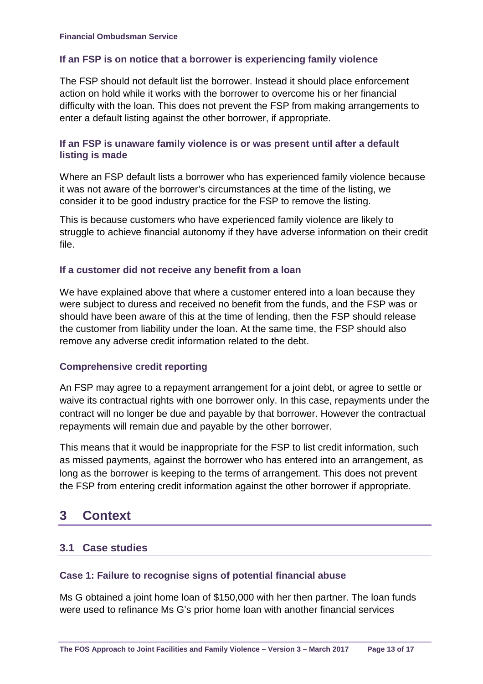#### **If an FSP is on notice that a borrower is experiencing family violence**

The FSP should not default list the borrower. Instead it should place enforcement action on hold while it works with the borrower to overcome his or her financial difficulty with the loan. This does not prevent the FSP from making arrangements to enter a default listing against the other borrower, if appropriate.

#### **If an FSP is unaware family violence is or was present until after a default listing is made**

Where an FSP default lists a borrower who has experienced family violence because it was not aware of the borrower's circumstances at the time of the listing, we consider it to be good industry practice for the FSP to remove the listing.

This is because customers who have experienced family violence are likely to struggle to achieve financial autonomy if they have adverse information on their credit file.

#### **If a customer did not receive any benefit from a loan**

We have explained above that where a customer entered into a loan because they were subject to duress and received no benefit from the funds, and the FSP was or should have been aware of this at the time of lending, then the FSP should release the customer from liability under the loan. At the same time, the FSP should also remove any adverse credit information related to the debt.

## **Comprehensive credit reporting**

An FSP may agree to a repayment arrangement for a joint debt, or agree to settle or waive its contractual rights with one borrower only. In this case, repayments under the contract will no longer be due and payable by that borrower. However the contractual repayments will remain due and payable by the other borrower.

This means that it would be inappropriate for the FSP to list credit information, such as missed payments, against the borrower who has entered into an arrangement, as long as the borrower is keeping to the terms of arrangement. This does not prevent the FSP from entering credit information against the other borrower if appropriate.

## **3 Context**

## **3.1 Case studies**

## **Case 1: Failure to recognise signs of potential financial abuse**

Ms G obtained a joint home loan of \$150,000 with her then partner. The loan funds were used to refinance Ms G's prior home loan with another financial services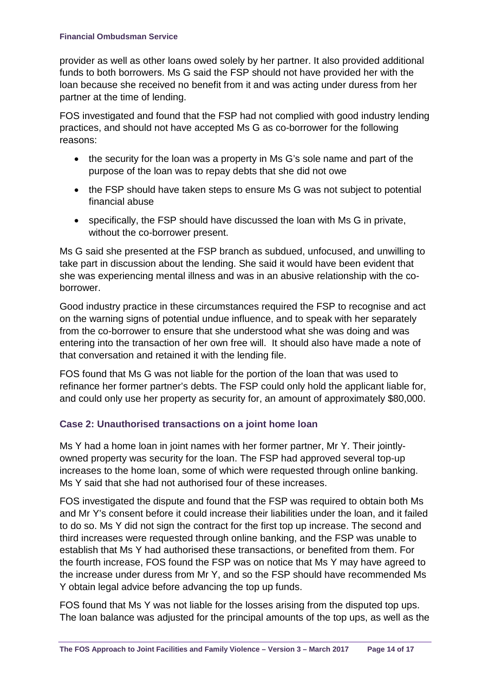provider as well as other loans owed solely by her partner. It also provided additional funds to both borrowers. Ms G said the FSP should not have provided her with the loan because she received no benefit from it and was acting under duress from her partner at the time of lending.

FOS investigated and found that the FSP had not complied with good industry lending practices, and should not have accepted Ms G as co-borrower for the following reasons:

- the security for the loan was a property in Ms G's sole name and part of the purpose of the loan was to repay debts that she did not owe
- the FSP should have taken steps to ensure Ms G was not subject to potential financial abuse
- specifically, the FSP should have discussed the loan with Ms G in private, without the co-borrower present.

Ms G said she presented at the FSP branch as subdued, unfocused, and unwilling to take part in discussion about the lending. She said it would have been evident that she was experiencing mental illness and was in an abusive relationship with the coborrower.

Good industry practice in these circumstances required the FSP to recognise and act on the warning signs of potential undue influence, and to speak with her separately from the co-borrower to ensure that she understood what she was doing and was entering into the transaction of her own free will. It should also have made a note of that conversation and retained it with the lending file.

FOS found that Ms G was not liable for the portion of the loan that was used to refinance her former partner's debts. The FSP could only hold the applicant liable for, and could only use her property as security for, an amount of approximately \$80,000.

## **Case 2: Unauthorised transactions on a joint home loan**

Ms Y had a home loan in joint names with her former partner, Mr Y. Their jointlyowned property was security for the loan. The FSP had approved several top-up increases to the home loan, some of which were requested through online banking. Ms Y said that she had not authorised four of these increases.

FOS investigated the dispute and found that the FSP was required to obtain both Ms and Mr Y's consent before it could increase their liabilities under the loan, and it failed to do so. Ms Y did not sign the contract for the first top up increase. The second and third increases were requested through online banking, and the FSP was unable to establish that Ms Y had authorised these transactions, or benefited from them. For the fourth increase, FOS found the FSP was on notice that Ms Y may have agreed to the increase under duress from Mr Y, and so the FSP should have recommended Ms Y obtain legal advice before advancing the top up funds.

FOS found that Ms Y was not liable for the losses arising from the disputed top ups. The loan balance was adjusted for the principal amounts of the top ups, as well as the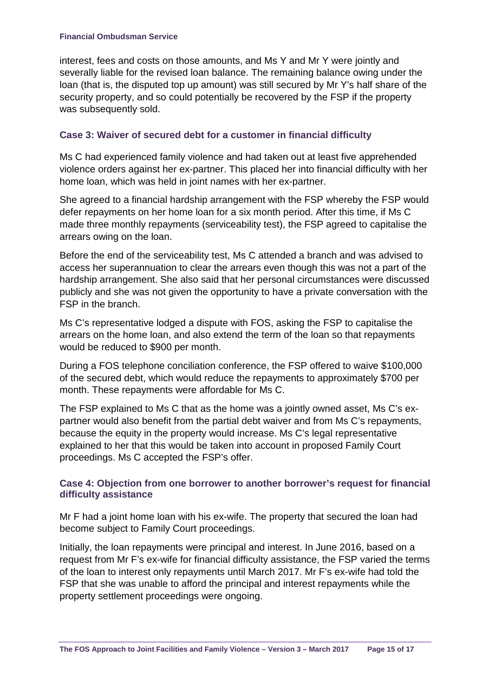interest, fees and costs on those amounts, and Ms Y and Mr Y were jointly and severally liable for the revised loan balance. The remaining balance owing under the loan (that is, the disputed top up amount) was still secured by Mr Y's half share of the security property, and so could potentially be recovered by the FSP if the property was subsequently sold.

#### **Case 3: Waiver of secured debt for a customer in financial difficulty**

Ms C had experienced family violence and had taken out at least five apprehended violence orders against her ex-partner. This placed her into financial difficulty with her home loan, which was held in joint names with her ex-partner.

She agreed to a financial hardship arrangement with the FSP whereby the FSP would defer repayments on her home loan for a six month period. After this time, if Ms C made three monthly repayments (serviceability test), the FSP agreed to capitalise the arrears owing on the loan.

Before the end of the serviceability test, Ms C attended a branch and was advised to access her superannuation to clear the arrears even though this was not a part of the hardship arrangement. She also said that her personal circumstances were discussed publicly and she was not given the opportunity to have a private conversation with the FSP in the branch.

Ms C's representative lodged a dispute with FOS, asking the FSP to capitalise the arrears on the home loan, and also extend the term of the loan so that repayments would be reduced to \$900 per month.

During a FOS telephone conciliation conference, the FSP offered to waive \$100,000 of the secured debt, which would reduce the repayments to approximately \$700 per month. These repayments were affordable for Ms C.

The FSP explained to Ms C that as the home was a jointly owned asset, Ms C's expartner would also benefit from the partial debt waiver and from Ms C's repayments, because the equity in the property would increase. Ms C's legal representative explained to her that this would be taken into account in proposed Family Court proceedings. Ms C accepted the FSP's offer.

#### **Case 4: Objection from one borrower to another borrower's request for financial difficulty assistance**

Mr F had a joint home loan with his ex-wife. The property that secured the loan had become subject to Family Court proceedings.

Initially, the loan repayments were principal and interest. In June 2016, based on a request from Mr F's ex-wife for financial difficulty assistance, the FSP varied the terms of the loan to interest only repayments until March 2017. Mr F's ex-wife had told the FSP that she was unable to afford the principal and interest repayments while the property settlement proceedings were ongoing.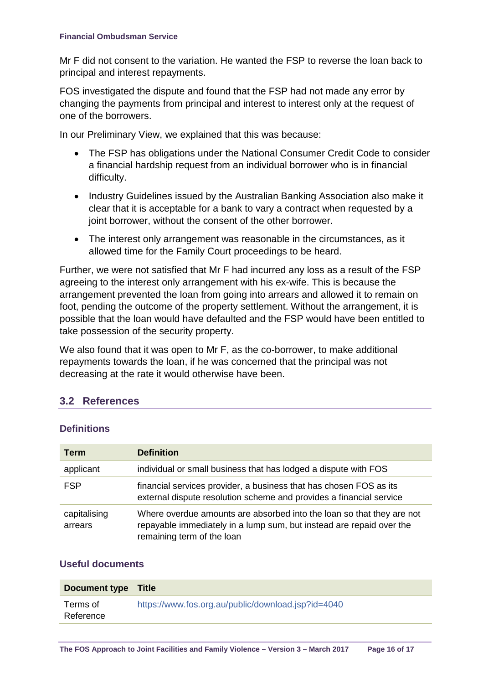Mr F did not consent to the variation. He wanted the FSP to reverse the loan back to principal and interest repayments.

FOS investigated the dispute and found that the FSP had not made any error by changing the payments from principal and interest to interest only at the request of one of the borrowers.

In our Preliminary View, we explained that this was because:

- The FSP has obligations under the National Consumer Credit Code to consider a financial hardship request from an individual borrower who is in financial difficulty.
- Industry Guidelines issued by the Australian Banking Association also make it clear that it is acceptable for a bank to vary a contract when requested by a joint borrower, without the consent of the other borrower.
- The interest only arrangement was reasonable in the circumstances, as it allowed time for the Family Court proceedings to be heard.

Further, we were not satisfied that Mr F had incurred any loss as a result of the FSP agreeing to the interest only arrangement with his ex-wife. This is because the arrangement prevented the loan from going into arrears and allowed it to remain on foot, pending the outcome of the property settlement. Without the arrangement, it is possible that the loan would have defaulted and the FSP would have been entitled to take possession of the security property.

We also found that it was open to Mr F, as the co-borrower, to make additional repayments towards the loan, if he was concerned that the principal was not decreasing at the rate it would otherwise have been.

## **3.2 References**

#### **Definitions**

| <b>Term</b>             | <b>Definition</b>                                                                                                                                                           |
|-------------------------|-----------------------------------------------------------------------------------------------------------------------------------------------------------------------------|
| applicant               | individual or small business that has lodged a dispute with FOS                                                                                                             |
| <b>FSP</b>              | financial services provider, a business that has chosen FOS as its<br>external dispute resolution scheme and provides a financial service                                   |
| capitalising<br>arrears | Where overdue amounts are absorbed into the loan so that they are not<br>repayable immediately in a lump sum, but instead are repaid over the<br>remaining term of the loan |

#### **Useful documents**

| <b>Document type Title</b> |                                                    |
|----------------------------|----------------------------------------------------|
| Terms of<br>Reference      | https://www.fos.org.au/public/download.jsp?id=4040 |